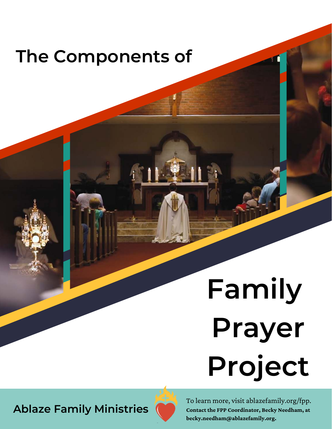# **The Components of**

# **Family Prayer Project**

**Ablaze Family Ministries**



To learn more, visit ablazefamily.org/fpp. **Contact the FPP Coordinator, Becky Needham, at becky.needham@ablazefamily.org.**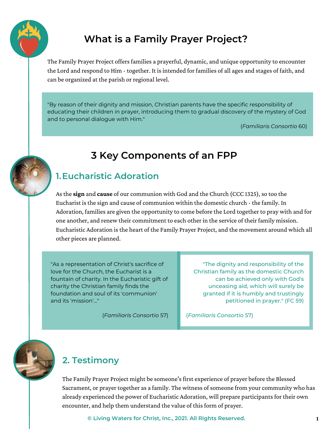

## **What is a Family Prayer Project?**

The Family Prayer Project offers families a prayerful, dynamic, and unique opportunity to encounter the Lord and respond to Him - together. It is intended for families of all ages and stages of faith, and can be organized at the parish or regional level.

"By reason of their dignity and mission, Christian parents have the specific responsibility of educating their children in prayer, introducing them to gradual discovery of the mystery of God and to personal dialogue with Him."

(*Familiaris Consortio* 60)

### **3 Key Components of an FPP**

#### **1. Eucharistic Adoration**

As the **sign** and **cause** of our communion with God and the Church (CCC 1325), so too the Eucharist is the sign and cause of communion within the domestic church - the family. In Adoration, families are given the opportunity to come before the Lord together to pray with and for one another, and renew their commitment to each other in the service of their family mission. Eucharistic Adoration is the heart of the Family Prayer Project, and the movement around which all other pieces are planned.

"As a representation of Christ's sacrifice of love for the Church, the Eucharist is a fountain of charity. In the Eucharistic gift of charity the Christian family finds the foundation and soul of its 'communion' and its 'mission'..."

"The dignity and responsibility of the Christian family as the domestic Church can be achieved only with God's unceasing aid, which will surely be granted if it is humbly and trustingly petitioned in prayer." (FC 59)

(*Familiaris Consortio* 57)

(*Familiaris Consortio* 57)



#### **2. Testimony**

The Family Prayer Project might be someone's first experience of prayer before the Blessed Sacrament, or prayer together as a family. The witness of someone from your community who has already experienced the power of Eucharistic Adoration, will prepare participants for their own encounter, and help them understand the value of this form of prayer.

**© Living Waters for Christ, Inc., 2021. All Rights Reserved. 1**